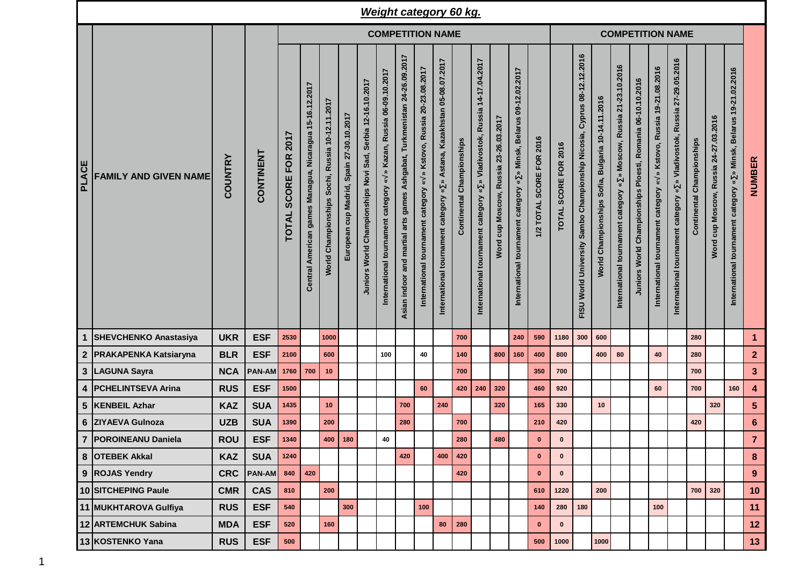|              |                              |                         |               |                                                    |                                                         |                                                 |                                          |                                                            |                                                                      |                                                                             |                                                                                         | <b>Weight category 60 kg.</b>                                                                   |                              |                                                                                                                            |                                          |                                                                                                                                |                          |                      |                                                                                       |                                                                   |                                                                                                                        |                                                            |                                                                                            |                                                                            |                                  |                                       |                                                                       |                         |
|--------------|------------------------------|-------------------------|---------------|----------------------------------------------------|---------------------------------------------------------|-------------------------------------------------|------------------------------------------|------------------------------------------------------------|----------------------------------------------------------------------|-----------------------------------------------------------------------------|-----------------------------------------------------------------------------------------|-------------------------------------------------------------------------------------------------|------------------------------|----------------------------------------------------------------------------------------------------------------------------|------------------------------------------|--------------------------------------------------------------------------------------------------------------------------------|--------------------------|----------------------|---------------------------------------------------------------------------------------|-------------------------------------------------------------------|------------------------------------------------------------------------------------------------------------------------|------------------------------------------------------------|--------------------------------------------------------------------------------------------|----------------------------------------------------------------------------|----------------------------------|---------------------------------------|-----------------------------------------------------------------------|-------------------------|
|              |                              | <b>COMPETITION NAME</b> |               |                                                    |                                                         |                                                 |                                          |                                                            |                                                                      |                                                                             |                                                                                         |                                                                                                 |                              |                                                                                                                            |                                          |                                                                                                                                | <b>COMPETITION NAME</b>  |                      |                                                                                       |                                                                   |                                                                                                                        |                                                            |                                                                                            |                                                                            |                                  |                                       |                                                                       |                         |
| <b>PLACE</b> | <b>FAMILY AND GIVEN NAME</b> | <b>COUNTRY</b>          | CONTINENT     | 2017<br><b>FOR</b><br><b>SCORE</b><br><b>TOTAL</b> | Central American games Managua, Nicaragua 15-16.12.2017 | Norld Championships Sochi, Russia 10-12.11.2017 | European cup Madrid, Spain 27-30.10.2017 | Juniors World Championships Novi Sad, Serbia 12-16.10.2017 | » Kazan, Russia 06-09.10.2017<br>International tournament category « | Ashgabat, Turkmenistan 24-26.09.2017<br>Asian indoor and martial arts games | » Kstovo, Russia 20-23.08.2017<br>$\,\mathbf{x}\,$<br>International tournament category | Astana, Kazakhstan 05-08.07.2017<br>$\boldsymbol{\ast}$<br>category<br>International tournament | Championships<br>Continental | Russia 14-17.04.2017<br>Vladivostok,<br>$\hat{\mathbf{z}}$<br>$\check{\mathbf{z}}$<br>category<br>International tournament | cup Moscow, Russia 23-26.03.2017<br>Word | 09-12.02.2017<br><b>Belarus</b><br>Minsk,<br>$\hat{\mathbf{z}}$<br>$\boldsymbol{\ast}$<br>tournament category<br>International | 1/2 TOTAL SCORE FOR 2016 | TOTAL SCORE FOR 2016 | 08-12.12.2016<br>Cyprus<br>Championship Nicosia,<br>Sambo<br>World University<br>FISU | Bulgaria 10-14.11.2016<br>Sofia,<br>Championships<br><b>World</b> | 21-23.10.2016<br>Moscow, Russia<br>$\hat{\mathbf{z}}$<br>$\breve{\phantom{a}}$<br>category<br>International tournament | Juniors World Championships Ploesti, Romania 06-10.10.2016 | » Kstovo, Russia 19-21.08.2016<br>$\boldsymbol{\ast}$<br>International tournament category | » Vladivostok, Russia 27-29.05.2016<br>International tournament category « | <b>Continental Championships</b> | Word cup Moscow, Russia 24-27.03.2016 | » Minsk, Belarus 19-21.02.2016<br>International tournament category « | NUMBER                  |
| 1            | <b>SHEVCHENKO Anastasiya</b> | <b>UKR</b>              | <b>ESF</b>    | 2530                                               |                                                         | 1000                                            |                                          |                                                            |                                                                      |                                                                             |                                                                                         |                                                                                                 | 700                          |                                                                                                                            |                                          | 240                                                                                                                            | 590                      | 1180                 | 300                                                                                   | 600                                                               |                                                                                                                        |                                                            |                                                                                            |                                                                            | 280                              |                                       |                                                                       | $\mathbf{1}$            |
|              | 2 PRAKAPENKA Katsiaryna      | <b>BLR</b>              | <b>ESF</b>    | 2100                                               |                                                         | 600                                             |                                          |                                                            | 100                                                                  |                                                                             | 40                                                                                      |                                                                                                 | 140                          |                                                                                                                            | 800                                      | 160                                                                                                                            | 400                      | 800                  |                                                                                       | 400                                                               | 80                                                                                                                     |                                                            | 40                                                                                         |                                                                            | 280                              |                                       |                                                                       | $\overline{2}$          |
|              | 3 LAGUNA Sayra               | <b>NCA</b>              | <b>PAN-AM</b> | 1760                                               | 700                                                     | 10                                              |                                          |                                                            |                                                                      |                                                                             |                                                                                         |                                                                                                 | 700                          |                                                                                                                            |                                          |                                                                                                                                | 350                      | 700                  |                                                                                       |                                                                   |                                                                                                                        |                                                            |                                                                                            |                                                                            | 700                              |                                       |                                                                       | $\mathbf{3}$            |
| 4            | <b>PCHELINTSEVA Arina</b>    | <b>RUS</b>              | <b>ESF</b>    | 1500                                               |                                                         |                                                 |                                          |                                                            |                                                                      |                                                                             | 60                                                                                      |                                                                                                 | 420                          | 240                                                                                                                        | 320                                      |                                                                                                                                | 460                      | 920                  |                                                                                       |                                                                   |                                                                                                                        |                                                            | 60                                                                                         |                                                                            | 700                              |                                       | 160                                                                   | $\overline{\mathbf{4}}$ |
| 5            | <b>KENBEIL Azhar</b>         | <b>KAZ</b>              | <b>SUA</b>    | 1435                                               |                                                         | 10                                              |                                          |                                                            |                                                                      | 700                                                                         |                                                                                         | 240                                                                                             |                              |                                                                                                                            | 320                                      |                                                                                                                                | 165                      | 330                  |                                                                                       | 10                                                                |                                                                                                                        |                                                            |                                                                                            |                                                                            |                                  | 320                                   |                                                                       | $5\phantom{.0}$         |
|              | 6 ZIYAEVA Gulnoza            | <b>UZB</b>              | <b>SUA</b>    | 1390                                               |                                                         | 200                                             |                                          |                                                            |                                                                      | 280                                                                         |                                                                                         |                                                                                                 | 700                          |                                                                                                                            |                                          |                                                                                                                                | 210                      | 420                  |                                                                                       |                                                                   |                                                                                                                        |                                                            |                                                                                            |                                                                            | 420                              |                                       |                                                                       | $6\phantom{1}$          |
|              | 7   POROINEANU Daniela       | <b>ROU</b>              | <b>ESF</b>    | 1340                                               |                                                         |                                                 | $400$   180                              |                                                            | 40                                                                   |                                                                             |                                                                                         |                                                                                                 | 280                          |                                                                                                                            | 480                                      |                                                                                                                                | $\mathbf 0$              | $\pmb{0}$            |                                                                                       |                                                                   |                                                                                                                        |                                                            |                                                                                            |                                                                            |                                  |                                       |                                                                       | $\overline{7}$          |
|              | 8 OTEBEK Akkal               | <b>KAZ</b>              | <b>SUA</b>    | 1240                                               |                                                         |                                                 |                                          |                                                            |                                                                      | 420                                                                         |                                                                                         | 400                                                                                             | 420                          |                                                                                                                            |                                          |                                                                                                                                | $\mathbf 0$              | $\bf{0}$             |                                                                                       |                                                                   |                                                                                                                        |                                                            |                                                                                            |                                                                            |                                  |                                       |                                                                       | 8                       |
|              | 9 ROJAS Yendry               | <b>CRC</b>              | <b>PAN-AM</b> | 840                                                | 420                                                     |                                                 |                                          |                                                            |                                                                      |                                                                             |                                                                                         |                                                                                                 | 420                          |                                                                                                                            |                                          |                                                                                                                                | $\mathbf 0$              | $\bf{0}$             |                                                                                       |                                                                   |                                                                                                                        |                                                            |                                                                                            |                                                                            |                                  |                                       |                                                                       | 9                       |
|              | 10 SITCHEPING Paule          | <b>CMR</b>              | <b>CAS</b>    | 810                                                |                                                         | 200                                             |                                          |                                                            |                                                                      |                                                                             |                                                                                         |                                                                                                 |                              |                                                                                                                            |                                          |                                                                                                                                | 610                      | 1220                 |                                                                                       | 200                                                               |                                                                                                                        |                                                            |                                                                                            |                                                                            | 700                              | 320                                   |                                                                       | 10                      |
|              | 11 MUKHTAROVA Gulfiya        | <b>RUS</b>              | <b>ESF</b>    | 540                                                |                                                         |                                                 | 300                                      |                                                            |                                                                      |                                                                             | 100                                                                                     |                                                                                                 |                              |                                                                                                                            |                                          |                                                                                                                                | 140                      | 280                  | 180                                                                                   |                                                                   |                                                                                                                        |                                                            | 100                                                                                        |                                                                            |                                  |                                       |                                                                       | 11                      |
|              | 12 ARTEMCHUK Sabina          | <b>MDA</b>              | <b>ESF</b>    | 520                                                |                                                         | 160                                             |                                          |                                                            |                                                                      |                                                                             |                                                                                         | 80                                                                                              | 280                          |                                                                                                                            |                                          |                                                                                                                                | $\mathbf 0$              | $\bf{0}$             |                                                                                       |                                                                   |                                                                                                                        |                                                            |                                                                                            |                                                                            |                                  |                                       |                                                                       | 12                      |
|              | 13 KOSTENKO Yana             | <b>RUS</b>              | <b>ESF</b>    | 500                                                |                                                         |                                                 |                                          |                                                            |                                                                      |                                                                             |                                                                                         |                                                                                                 |                              |                                                                                                                            |                                          |                                                                                                                                | 500                      | 1000                 |                                                                                       | 1000                                                              |                                                                                                                        |                                                            |                                                                                            |                                                                            |                                  |                                       |                                                                       | 13                      |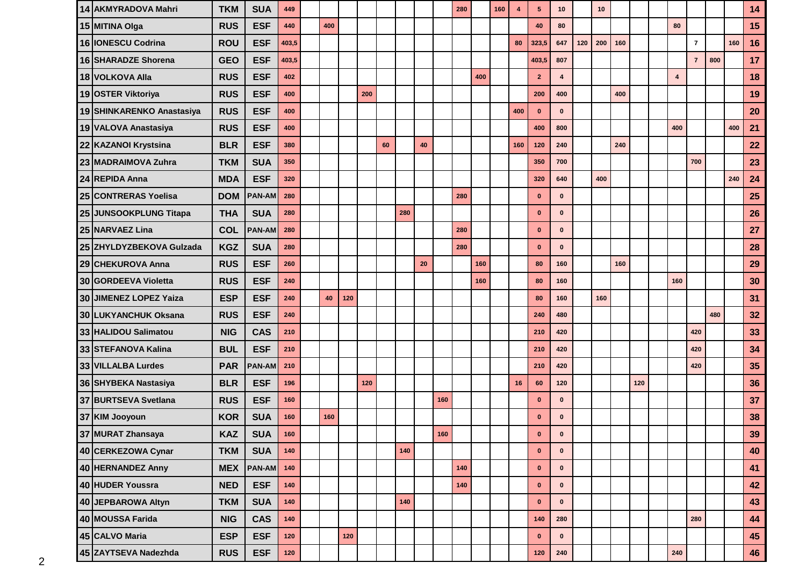| 14 AKMYRADOVA Mahri         | <b>TKM</b> | <b>SUA</b>    | 449   |     |       |     |    |     |    |     | 280 |     | 160 | 4   | 5              | 10           |     | 10  |     |     |                         |                |     |     | 14 |
|-----------------------------|------------|---------------|-------|-----|-------|-----|----|-----|----|-----|-----|-----|-----|-----|----------------|--------------|-----|-----|-----|-----|-------------------------|----------------|-----|-----|----|
| 15 MITINA Olga              | <b>RUS</b> | <b>ESF</b>    | 440   | 400 |       |     |    |     |    |     |     |     |     |     | 40             | 80           |     |     |     |     | 80                      |                |     |     | 15 |
| 16   IONESCU Codrina        | <b>ROU</b> | <b>ESF</b>    | 403,5 |     |       |     |    |     |    |     |     |     |     | 80  | 323,5          | 647          | 120 | 200 | 160 |     |                         | $\overline{7}$ |     | 160 | 16 |
| <b>16 SHARADZE Shorena</b>  | <b>GEO</b> | <b>ESF</b>    | 403,5 |     |       |     |    |     |    |     |     |     |     |     | 403,5          | 807          |     |     |     |     |                         | $\overline{7}$ | 800 |     | 17 |
| 18 VOLKOVA Alla             | <b>RUS</b> | <b>ESF</b>    | 402   |     |       |     |    |     |    |     |     | 400 |     |     | $\overline{2}$ | 4            |     |     |     |     | $\overline{\mathbf{4}}$ |                |     |     | 18 |
| 19 OSTER Viktoriya          | <b>RUS</b> | <b>ESF</b>    | 400   |     |       | 200 |    |     |    |     |     |     |     |     | 200            | 400          |     |     | 400 |     |                         |                |     |     | 19 |
| 19 SHINKARENKO Anastasiya   | <b>RUS</b> | <b>ESF</b>    | 400   |     |       |     |    |     |    |     |     |     |     | 400 | $\mathbf{0}$   | $\mathbf{0}$ |     |     |     |     |                         |                |     |     | 20 |
| 19 VALOVA Anastasiya        | <b>RUS</b> | <b>ESF</b>    | 400   |     |       |     |    |     |    |     |     |     |     |     | 400            | 800          |     |     |     |     | 400                     |                |     | 400 | 21 |
| 22 KAZANOI Krystsina        | <b>BLR</b> | <b>ESF</b>    | 380   |     |       |     | 60 |     | 40 |     |     |     |     | 160 | 120            | 240          |     |     | 240 |     |                         |                |     |     | 22 |
| 23 MADRAIMOVA Zuhra         | <b>TKM</b> | <b>SUA</b>    | 350   |     |       |     |    |     |    |     |     |     |     |     | 350            | 700          |     |     |     |     |                         | 700            |     |     | 23 |
| 24 REPIDA Anna              | <b>MDA</b> | <b>ESF</b>    | 320   |     |       |     |    |     |    |     |     |     |     |     | 320            | 640          |     | 400 |     |     |                         |                |     | 240 | 24 |
| <b>25 CONTRERAS Yoelisa</b> | <b>DOM</b> | <b>PAN-AM</b> | 280   |     |       |     |    |     |    |     | 280 |     |     |     | $\bf{0}$       | $\bf{0}$     |     |     |     |     |                         |                |     |     | 25 |
| 25 JUNSOOKPLUNG Titapa      | <b>THA</b> | <b>SUA</b>    | 280   |     |       |     |    | 280 |    |     |     |     |     |     | $\mathbf 0$    | $\bf{0}$     |     |     |     |     |                         |                |     |     | 26 |
| 25 NARVAEZ Lina             | <b>COL</b> | <b>PAN-AM</b> | 280   |     |       |     |    |     |    |     | 280 |     |     |     | $\bf{0}$       | $\bf{0}$     |     |     |     |     |                         |                |     |     | 27 |
| 25 ZHYLDYZBEKOVA Gulzada    | <b>KGZ</b> | <b>SUA</b>    | 280   |     |       |     |    |     |    |     | 280 |     |     |     | $\mathbf 0$    | $\bf{0}$     |     |     |     |     |                         |                |     |     | 28 |
| 29 CHEKUROVA Anna           | <b>RUS</b> | <b>ESF</b>    | 260   |     |       |     |    |     | 20 |     |     | 160 |     |     | 80             | 160          |     |     | 160 |     |                         |                |     |     | 29 |
| 30 GORDEEVA Violetta        | <b>RUS</b> | <b>ESF</b>    | 240   |     |       |     |    |     |    |     |     | 160 |     |     | 80             | 160          |     |     |     |     | 160                     |                |     |     | 30 |
| 30 JIMENEZ LOPEZ Yaiza      | <b>ESP</b> | <b>ESF</b>    | 240   | 40  | 120   |     |    |     |    |     |     |     |     |     | 80             | 160          |     | 160 |     |     |                         |                |     |     | 31 |
| 30 LUKYANCHUK Oksana        | <b>RUS</b> | <b>ESF</b>    | 240   |     |       |     |    |     |    |     |     |     |     |     | 240            | 480          |     |     |     |     |                         |                | 480 |     | 32 |
| 33 HALIDOU Salimatou        | <b>NIG</b> | <b>CAS</b>    | 210   |     |       |     |    |     |    |     |     |     |     |     | 210            | 420          |     |     |     |     |                         | 420            |     |     | 33 |
| 33 STEFANOVA Kalina         | <b>BUL</b> | <b>ESF</b>    | 210   |     |       |     |    |     |    |     |     |     |     |     | 210            | 420          |     |     |     |     |                         | 420            |     |     | 34 |
| 33 VILLALBA Lurdes          | <b>PAR</b> | <b>PAN-AM</b> | 210   |     |       |     |    |     |    |     |     |     |     |     | 210            | 420          |     |     |     |     |                         | 420            |     |     | 35 |
| 36 SHYBEKA Nastasiya        | <b>BLR</b> | <b>ESF</b>    | 196   |     |       | 120 |    |     |    |     |     |     |     | 16  | 60             | 120          |     |     |     | 120 |                         |                |     |     | 36 |
| 37 BURTSEVA Svetlana        | <b>RUS</b> | <b>ESF</b>    | 160   |     |       |     |    |     |    | 160 |     |     |     |     | $\bf{0}$       | $\bf{0}$     |     |     |     |     |                         |                |     |     | 37 |
| 37 KIM Jooyoun              | <b>KOR</b> | <b>SUA</b>    | 160   | 160 |       |     |    |     |    |     |     |     |     |     | $\bf{0}$       | $\bf{0}$     |     |     |     |     |                         |                |     |     | 38 |
| 37 MURAT Zhansaya           | KAZ        | <b>SUA</b>    | 160   |     |       |     |    |     |    | 160 |     |     |     |     | $\mathbf 0$    | 0            |     |     |     |     |                         |                |     |     | 39 |
| 40 CERKEZOWA Cynar          | <b>TKM</b> | <b>SUA</b>    | 140   |     |       |     |    | 140 |    |     |     |     |     |     | $\mathbf 0$    | $\mathbf 0$  |     |     |     |     |                         |                |     |     | 40 |
| 40 HERNANDEZ Anny           | <b>MEX</b> | <b>PAN-AM</b> | 140   |     |       |     |    |     |    |     | 140 |     |     |     | $\mathbf 0$    | $\mathbf 0$  |     |     |     |     |                         |                |     |     | 41 |
| 40 HUDER Youssra            | <b>NED</b> | <b>ESF</b>    | 140   |     |       |     |    |     |    |     | 140 |     |     |     | $\mathbf 0$    | $\mathbf 0$  |     |     |     |     |                         |                |     |     | 42 |
| 40 JEPBAROWA Altyn          | <b>TKM</b> | <b>SUA</b>    | 140   |     |       |     |    | 140 |    |     |     |     |     |     | $\mathbf 0$    | $\mathbf{0}$ |     |     |     |     |                         |                |     |     | 43 |
| 40 MOUSSA Farida            | <b>NIG</b> | <b>CAS</b>    | 140   |     |       |     |    |     |    |     |     |     |     |     | 140            | 280          |     |     |     |     |                         | 280            |     |     | 44 |
| 45 CALVO Maria              | <b>ESP</b> | <b>ESF</b>    | 120   |     | $120$ |     |    |     |    |     |     |     |     |     | $\mathbf 0$    | $\mathbf 0$  |     |     |     |     |                         |                |     |     | 45 |
| 45 ZAYTSEVA Nadezhda        | <b>RUS</b> | <b>ESF</b>    | $120$ |     |       |     |    |     |    |     |     |     |     |     | $120$          | 240          |     |     |     |     | ${\bf 240}$             |                |     |     | 46 |
|                             |            |               |       |     |       |     |    |     |    |     |     |     |     |     |                |              |     |     |     |     |                         |                |     |     |    |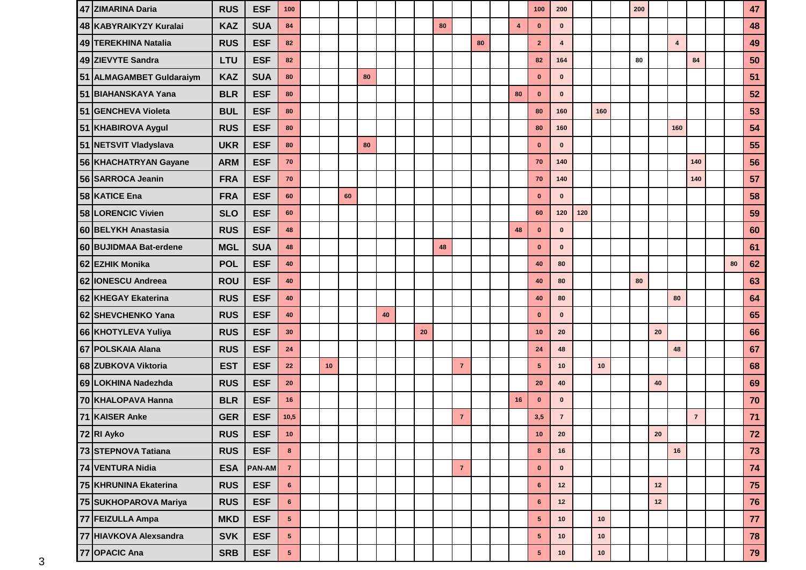| 47 ZIMARINA Daria        | <b>RUS</b> | <b>ESF</b>    | 100             |    |    |    |    |    |    |                |    |                         | 100             | 200                     |     |      | 200 |            |                         |                |    | 47   |
|--------------------------|------------|---------------|-----------------|----|----|----|----|----|----|----------------|----|-------------------------|-----------------|-------------------------|-----|------|-----|------------|-------------------------|----------------|----|------|
| 48 KABYRAIKYZY Kuralai   | <b>KAZ</b> | <b>SUA</b>    | 84              |    |    |    |    |    | 80 |                |    | $\overline{\mathbf{4}}$ | $\bf{0}$        | $\bf{0}$                |     |      |     |            |                         |                |    | 48   |
| 49 TEREKHINA Natalia     | <b>RUS</b> | <b>ESF</b>    | 82              |    |    |    |    |    |    |                | 80 |                         | $\overline{2}$  | $\overline{\mathbf{4}}$ |     |      |     |            | $\overline{\mathbf{4}}$ |                |    | 49   |
| 49 ZIEVYTE Sandra        | <b>LTU</b> | <b>ESF</b>    | 82              |    |    |    |    |    |    |                |    |                         | 82              | 164                     |     |      | 80  |            |                         | 84             |    | 50   |
| 51 ALMAGAMBET Guldaraiym | <b>KAZ</b> | <b>SUA</b>    | 80              |    |    | 80 |    |    |    |                |    |                         | $\mathbf 0$     | $\mathbf{0}$            |     |      |     |            |                         |                |    | 51   |
| 51 BIAHANSKAYA Yana      | <b>BLR</b> | <b>ESF</b>    | 80              |    |    |    |    |    |    |                |    | 80                      | $\bf{0}$        | $\bf{0}$                |     |      |     |            |                         |                |    | 52   |
| 51 GENCHEVA Violeta      | <b>BUL</b> | <b>ESF</b>    | 80              |    |    |    |    |    |    |                |    |                         | 80              | 160                     |     | 160  |     |            |                         |                |    | 53   |
| 51 KHABIROVA Aygul       | <b>RUS</b> | <b>ESF</b>    | 80              |    |    |    |    |    |    |                |    |                         | 80              | 160                     |     |      |     |            | 160                     |                |    | 54   |
| 51 NETSVIT Vladyslava    | <b>UKR</b> | <b>ESF</b>    | 80              |    |    | 80 |    |    |    |                |    |                         | $\mathbf 0$     | $\mathbf{0}$            |     |      |     |            |                         |                |    | 55   |
| 56 KHACHATRYAN Gayane    | <b>ARM</b> | <b>ESF</b>    | 70              |    |    |    |    |    |    |                |    |                         | 70              | 140                     |     |      |     |            |                         | 140            |    | 56   |
| 56 SARROCA Jeanin        | <b>FRA</b> | <b>ESF</b>    | 70              |    |    |    |    |    |    |                |    |                         | 70              | 140                     |     |      |     |            |                         | 140            |    | 57   |
| 58 KATICE Ena            | <b>FRA</b> | <b>ESF</b>    | 60              |    | 60 |    |    |    |    |                |    |                         | $\mathbf{0}$    | $\mathbf{0}$            |     |      |     |            |                         |                |    | 58   |
| 58 LORENCIC Vivien       | <b>SLO</b> | <b>ESF</b>    | 60              |    |    |    |    |    |    |                |    |                         | 60              | 120                     | 120 |      |     |            |                         |                |    | 59   |
| 60 BELYKH Anastasia      | <b>RUS</b> | <b>ESF</b>    | 48              |    |    |    |    |    |    |                |    | 48                      | $\mathbf 0$     | $\bf{0}$                |     |      |     |            |                         |                |    | 60   |
| 60 BUJIDMAA Bat-erdene   | <b>MGL</b> | <b>SUA</b>    | 48              |    |    |    |    |    | 48 |                |    |                         | $\mathbf 0$     | $\mathbf{0}$            |     |      |     |            |                         |                |    | 61   |
| 62 EZHIK Monika          | <b>POL</b> | <b>ESF</b>    | 40              |    |    |    |    |    |    |                |    |                         | 40              | 80                      |     |      |     |            |                         |                | 80 | 62   |
| 62 IONESCU Andreea       | <b>ROU</b> | <b>ESF</b>    | 40              |    |    |    |    |    |    |                |    |                         | 40              | 80                      |     |      | 80  |            |                         |                |    | 63   |
| 62 KHEGAY Ekaterina      | <b>RUS</b> | <b>ESF</b>    | 40              |    |    |    |    |    |    |                |    |                         | 40              | 80                      |     |      |     |            | 80                      |                |    | 64   |
| 62 SHEVCHENKO Yana       | <b>RUS</b> | <b>ESF</b>    | 40              |    |    |    | 40 |    |    |                |    |                         | $\bf{0}$        | $\mathbf{0}$            |     |      |     |            |                         |                |    | 65   |
| 66 KHOTYLEVA Yuliya      | <b>RUS</b> | <b>ESF</b>    | 30              |    |    |    |    | 20 |    |                |    |                         | 10              | 20                      |     |      |     | 20         |                         |                |    | 66   |
| 67 POLSKAIA Alana        | <b>RUS</b> | <b>ESF</b>    | 24              |    |    |    |    |    |    |                |    |                         | 24              | 48                      |     |      |     |            | 48                      |                |    | 67   |
| 68 ZUBKOVA Viktoria      | <b>EST</b> | <b>ESF</b>    | 22              | 10 |    |    |    |    |    | $\overline{7}$ |    |                         | $5\phantom{.0}$ | 10 <sub>1</sub>         |     | 10   |     |            |                         |                |    | 68   |
| 69 LOKHINA Nadezhda      | <b>RUS</b> | <b>ESF</b>    | 20              |    |    |    |    |    |    |                |    |                         | 20              | 40                      |     |      |     | 40         |                         |                |    | 69   |
| 70 KHALOPAVA Hanna       | <b>BLR</b> | <b>ESF</b>    | 16              |    |    |    |    |    |    |                |    | 16                      | $\bf{0}$        | $\mathbf{0}$            |     |      |     |            |                         |                |    | 70   |
| 71 KAISER Anke           | <b>GER</b> | <b>ESF</b>    | 10,5            |    |    |    |    |    |    | $\overline{7}$ |    |                         | 3,5             | $\overline{7}$          |     |      |     |            |                         | $\overline{7}$ |    | $71$ |
| 72 RI Ayko               | <b>RUS</b> | <b>ESF</b>    | $10$            |    |    |    |    |    |    |                |    |                         | $10\,$          | ${\bf 20}$              |     |      |     | ${\bf 20}$ |                         |                |    | 72   |
| 73 STEPNOVA Tatiana      | <b>RUS</b> | <b>ESF</b>    | $\bf{8}$        |    |    |    |    |    |    |                |    |                         | $\bf{8}$        | 16                      |     |      |     |            | 16                      |                |    | 73   |
| 74 VENTURA Nidia         | <b>ESA</b> | <b>PAN-AM</b> | $\mathbf{7}$    |    |    |    |    |    |    | $\mathbf{7}$   |    |                         | $\mathbf 0$     | $\mathbf 0$             |     |      |     |            |                         |                |    | 74   |
| 75 KHRUNINA Ekaterina    | <b>RUS</b> | <b>ESF</b>    | $6\phantom{.}$  |    |    |    |    |    |    |                |    |                         | $\bf 6$         | 12                      |     |      |     | $12$       |                         |                |    | 75   |
| 75 SUKHOPAROVA Mariya    | <b>RUS</b> | <b>ESF</b>    | $6\phantom{.}$  |    |    |    |    |    |    |                |    |                         | $6\phantom{.}$  | 12                      |     |      |     | $12$       |                         |                |    | 76   |
| 77 FEIZULLA Ampa         | <b>MKD</b> | <b>ESF</b>    | 5 <sub>5</sub>  |    |    |    |    |    |    |                |    |                         | $5\phantom{.0}$ | 10                      |     | $10$ |     |            |                         |                |    | 77   |
| 77 HIAVKOVA Alexsandra   | <b>SVK</b> | <b>ESF</b>    | $5\phantom{.0}$ |    |    |    |    |    |    |                |    |                         | 5 <sub>5</sub>  | 10                      |     | $10$ |     |            |                         |                |    | 78   |
| 77 OPACIC Ana            | <b>SRB</b> | <b>ESF</b>    | 5 <sub>1</sub>  |    |    |    |    |    |    |                |    |                         | 5 <sub>5</sub>  | 10                      |     | $10$ |     |            |                         |                |    | 79   |
|                          |            |               |                 |    |    |    |    |    |    |                |    |                         |                 |                         |     |      |     |            |                         |                |    |      |